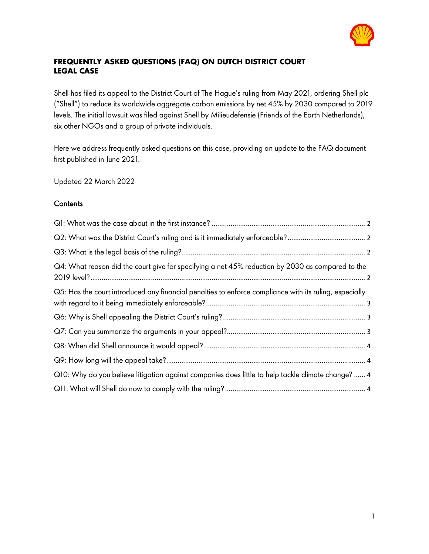

# **FREQUENTLY ASKED QUESTIONS (FAQ) ON DUTCH DISTRICT COURT LEGAL CASE**

Shell has filed its appeal to the District Court of The Hague's ruling from May 2021, ordering Shell plc ("Shell") to reduce its worldwide aggregate carbon emissions by net 45% by 2030 compared to 2019 levels. The initial lawsuit was filed against Shell by Milieudefensie (Friends of the Earth Netherlands), six other NGOs and a group of private individuals.

Here we address frequently asked questions on this case, providing an update to the FAQ document first published in June 2021.

Updated 22 March 2022

### **Contents**

| Q4: What reason did the court give for specifying a net 45% reduction by 2030 as compared to the       |  |
|--------------------------------------------------------------------------------------------------------|--|
| Q5: Has the court introduced any financial penalties to enforce compliance with its ruling, especially |  |
|                                                                                                        |  |
|                                                                                                        |  |
|                                                                                                        |  |
|                                                                                                        |  |
| Q10: Why do you believe litigation against companies does little to help tackle climate change?  4     |  |
|                                                                                                        |  |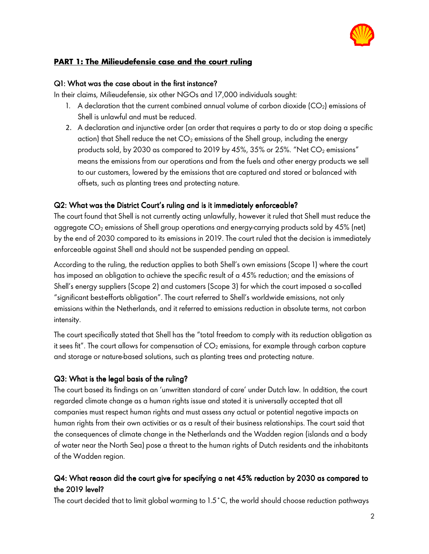

## **PART 1: The Milieudefensie case and the court ruling**

#### $Q1:$  What was the case about in the first instance?

In their claims, Milieudefensie, six other NGOs and 17,000 individuals sought:

- 1. A declaration that the current combined annual volume of carbon dioxide  $(CO<sub>2</sub>)$  emissions of Shell is unlawful and must be reduced.
- 2. A declaration and injunctive order (an order that requires a party to do or stop doing a specific action) that Shell reduce the net  $CO<sub>2</sub>$  emissions of the Shell group, including the energy products sold, by 2030 as compared to 2019 by 45%, 35% or 25%. "Net  $CO_2$  emissions" means the emissions from our operations and from the fuels and other energy products we sell to our customers, lowered by the emissions that are captured and stored or balanced with offsets, such as planting trees and protecting nature.

### Q2: What was the District Court's ruling and is it immediately enforceable?

The court found that Shell is not currently acting unlawfully, however it ruled that Shell must reduce the aggregate CO<sub>2</sub> emissions of Shell group operations and energy-carrying products sold by 45% (net) by the end of 2030 compared to its emissions in 2019. The court ruled that the decision is immediately enforceable against Shell and should not be suspended pending an appeal.

According to the ruling, the reduction applies to both Shell's own emissions (Scope 1) where the court has imposed an obligation to achieve the specific result of a 45% reduction; and the emissions of Shell's energy suppliers (Scope 2) and customers (Scope 3) for which the court imposed a so-called "significant best-efforts obligation". The court referred to Shell's worldwide emissions, not only emissions within the Netherlands, and it referred to emissions reduction in absolute terms, not carbon intensity.

The court specifically stated that Shell has the "total freedom to comply with its reduction obligation as it sees fit". The court allows for compensation of  $CO<sub>2</sub>$  emissions, for example through carbon capture and storage or nature-based solutions, such as planting trees and protecting nature.

## $Q3:$  What is the legal basis of the ruling?

The court based its findings on an 'unwritten standard of care' under Dutch law. In addition, the court regarded climate change as a human rights issue and stated it is universally accepted that all companies must respect human rights and must assess any actual or potential negative impacts on human rights from their own activities or as a result of their business relationships. The court said that the consequences of climate change in the Netherlands and the Wadden region (islands and a body of water near the North Sea) pose a threat to the human rights of Dutch residents and the inhabitants of the Wadden region.

# Q4: What reason did the court give for specifying a net 45% reduction by 2030 as compared to the 2019 level?

The court decided that to limit global warming to 1.5˚C, the world should choose reduction pathways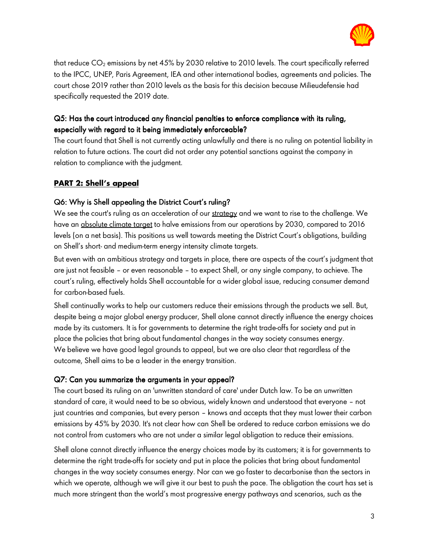

that reduce CO<sub>2</sub> emissions by net 45% by 2030 relative to 2010 levels. The court specifically referred to the IPCC, UNEP, Paris Agreement, IEA and other international bodies, agreements and policies. The court chose 2019 rather than 2010 levels as the basis for this decision because Milieudefensie had specifically requested the 2019 date.

# Q5: Has the court introduced any financial penalties to enforce compliance with its ruling, especially with regard to it being immediately enforceable?

The court found that Shell is not currently acting unlawfully and there is no ruling on potential liability in relation to future actions. The court did not order any potential sanctions against the company in relation to compliance with the judgment.

# **PART 2: Shell's appeal**

## Q6: Why is Shell appealing the District Court's ruling?

We see the court's ruling as an acceleration of our strategy and we want to rise to the challenge. We have an absolute climate target to halve emissions from our operations by 2030, compared to 2016 levels (on a net basis). This positions us well towards meeting the District Court's obligations, building on Shell's short- and medium-term energy intensity climate targets.

But even with an ambitious strategy and targets in place, there are aspects of the court's judgment that are just not feasible – or even reasonable – to expect Shell, or any single company, to achieve. The court's ruling, effectively holds Shell accountable for a wider global issue, reducing consumer demand for carbon-based fuels.

Shell continually works to help our customers reduce their emissions through the products we sell. But, despite being a major global energy producer, Shell alone cannot directly influence the energy choices made by its customers. It is for governments to determine the right trade-offs for society and put in place the policies that bring about fundamental changes in the way society consumes energy. We believe we have good legal grounds to appeal, but we are also clear that regardless of the outcome, Shell aims to be a leader in the energy transition.

### Q7: Can you summarize the arguments in your appeal?

The court based its ruling on an 'unwritten standard of care' under Dutch law. To be an unwritten standard of care, it would need to be so obvious, widely known and understood that everyone – not just countries and companies, but every person – knows and accepts that they must lower their carbon emissions by 45% by 2030. It's not clear how can Shell be ordered to reduce carbon emissions we do not control from customers who are not under a similar legal obligation to reduce their emissions.

Shell alone cannot directly influence the energy choices made by its customers; it is for governments to determine the right trade-offs for society and put in place the policies that bring about fundamental changes in the way society consumes energy. Nor can we go faster to decarbonise than the sectors in which we operate, although we will give it our best to push the pace. The obligation the court has set is much more stringent than the world's most progressive energy pathways and scenarios, such as the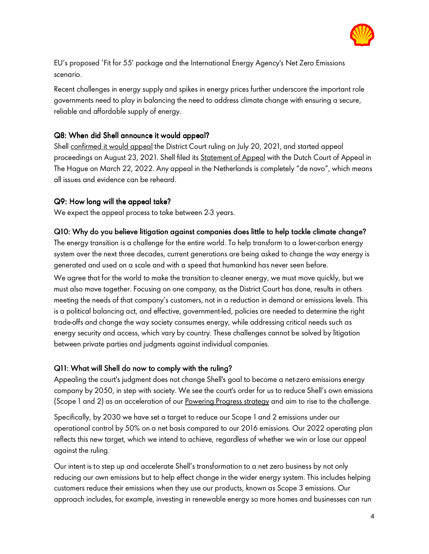

EU's proposed 'Fit for 55' package and the International Energy Agency's Net Zero Emissions scenario.

Recent challenges in energy supply and spikes in energy prices further underscore the important role governments need to play in balancing the need to address climate change with ensuring a secure, reliable and affordable supply of energy.

### Q8: When did Shell announce it would appeal?

Shell confirmed it would appeal the District Court ruling on July 20, 2021, and started appeal proceedings on August 23, 2021. Shell filed its Statement of Appeal with the Dutch Court of Appeal in The Hague on March 22, 2022. Any appeal in the Netherlands is completely "de novo", which means all issues and evidence can be reheard.

#### Q9: How long will the appeal take?

We expect the appeal process to take between 2-3 years.

#### Q10: Why do you believe litigation against companies does little to help tackle climate change?

The energy transition is a challenge for the entire world. To help transform to a lower-carbon energy system over the next three decades, current generations are being asked to change the way energy is generated and used on a scale and with a speed that humankind has never seen before.

We agree that for the world to make the transition to cleaner energy, we must move quickly, but we must also move together. Focusing on one company, as the District Court has done, results in others meeting the needs of that company's customers, not in a reduction in demand or emissions levels. This is a political balancing act, and effective, government-led, policies are needed to determine the right trade-offs and change the way society consumes energy, while addressing critical needs such as energy security and access, which vary by country. These challenges cannot be solved by litigation between private parties and judgments against individual companies.

#### Q11: What will Shell do now to comply with the ruling?

Appealing the court's judgment does not change Shell's goal to become a net-zero emissions energy company by 2050, in step with society. We see the court's order for us to reduce Shell's own emissions (Scope 1 and 2) as an acceleration of our Powering Progress strategy and aim to rise to the challenge.

Specifically, by 2030 we have set a target to reduce our Scope 1 and 2 emissions under our operational control by 50% on a net basis compared to our 2016 emissions. Our 2022 operating plan reflects this new target, which we intend to achieve, regardless of whether we win or lose our appeal against the ruling.

Our intent is to step up and accelerate Shell's transformation to a net zero business by not only reducing our own emissions but to help effect change in the wider energy system. This includes helping customers reduce their emissions when they use our products, known as Scope 3 emissions. Our approach includes, for example, investing in renewable energy so more homes and businesses can run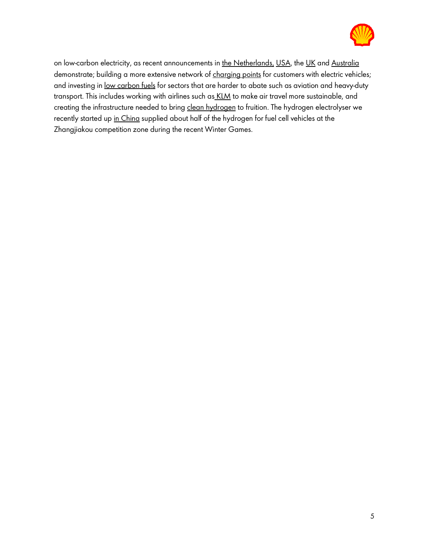

on low-carbon electricity, as recent announcements in the Netherlands, USA, the UK and Australia demonstrate; building a more extensive network of charging points for customers with electric vehicles; and investing in low carbon fuels for sectors that are harder to abate such as aviation and heavy-duty transport. This includes working with airlines such as KLM to make air travel more sustainable, and creating the infrastructure needed to bring clean hydrogen to fruition. The hydrogen electrolyser we recently started up in China supplied about half of the hydrogen for fuel cell vehicles at the Zhangjiakou competition zone during the recent Winter Games.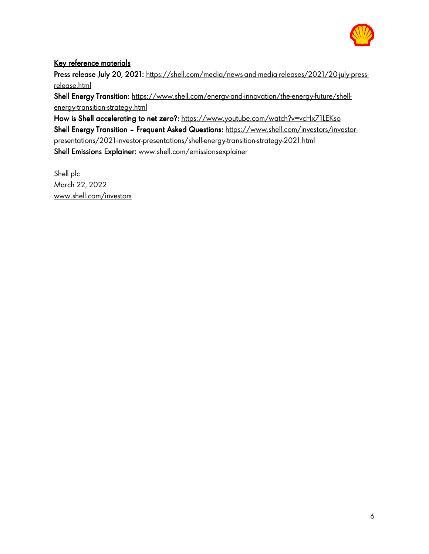

## Key reference materials

Press release July 20, 2021: https://shell.com/media/news-and-media-releases/2021/20-july-pressrelease.html

Shell Energy Transition: https://www.shell.com/energy-and-innovation/the-energy-future/shellenergy-transition-strategy.html

How is Shell accelerating to net zero?: https://www.youtube.com/watch?v=vcHx71LEKso Shell Energy Transition - Frequent Asked Questions: https://www.shell.com/investors/investorpresentations/2021-investor-presentations/shell-energy-transition-strategy-2021.html Shell Emissions Explainer: www.shell.com/emissionsexplainer

Shell plc March 22, 2022 www.shell.com/investors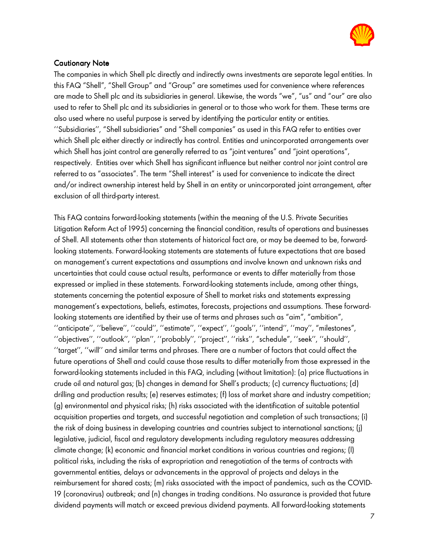

#### **Cautionary Note**

The companies in which Shell plc directly and indirectly owns investments are separate legal entities. In this FAQ "Shell", "Shell Group" and "Group" are sometimes used for convenience where references are made to Shell plc and its subsidiaries in general. Likewise, the words "we", "us" and "our" are also used to refer to Shell plc and its subsidiaries in general or to those who work for them. These terms are also used where no useful purpose is served by identifying the particular entity or entities. ''Subsidiaries'', "Shell subsidiaries" and "Shell companies" as used in this FAQ refer to entities over which Shell plc either directly or indirectly has control. Entities and unincorporated arrangements over which Shell has joint control are generally referred to as "joint ventures" and "joint operations", respectively. Entities over which Shell has significant influence but neither control nor joint control are referred to as "associates". The term "Shell interest" is used for convenience to indicate the direct and/or indirect ownership interest held by Shell in an entity or unincorporated joint arrangement, after exclusion of all third-party interest.

This FAQ contains forward-looking statements (within the meaning of the U.S. Private Securities Litigation Reform Act of 1995) concerning the financial condition, results of operations and businesses of Shell. All statements other than statements of historical fact are, or may be deemed to be, forwardlooking statements. Forward-looking statements are statements of future expectations that are based on management's current expectations and assumptions and involve known and unknown risks and uncertainties that could cause actual results, performance or events to differ materially from those expressed or implied in these statements. Forward-looking statements include, among other things, statements concerning the potential exposure of Shell to market risks and statements expressing management's expectations, beliefs, estimates, forecasts, projections and assumptions. These forwardlooking statements are identified by their use of terms and phrases such as "aim", "ambition", ''anticipate'', ''believe'', ''could'', ''estimate'', ''expect'', ''goals'', ''intend'', ''may'', "milestones", ''objectives'', ''outlook'', ''plan'', ''probably'', ''project'', ''risks'', "schedule", ''seek'', ''should'', ''target'', ''will'' and similar terms and phrases. There are a number of factors that could affect the future operations of Shell and could cause those results to differ materially from those expressed in the forward-looking statements included in this FAQ, including (without limitation): (a) price fluctuations in crude oil and natural gas; (b) changes in demand for Shell's products; (c) currency fluctuations; (d) drilling and production results; (e) reserves estimates; (f) loss of market share and industry competition; (g) environmental and physical risks; (h) risks associated with the identification of suitable potential acquisition properties and targets, and successful negotiation and completion of such transactions; (i) the risk of doing business in developing countries and countries subject to international sanctions; (j) legislative, judicial, fiscal and regulatory developments including regulatory measures addressing climate change; (k) economic and financial market conditions in various countries and regions; (l) political risks, including the risks of expropriation and renegotiation of the terms of contracts with governmental entities, delays or advancements in the approval of projects and delays in the reimbursement for shared costs; (m) risks associated with the impact of pandemics, such as the COVID-19 (coronavirus) outbreak; and (n) changes in trading conditions. No assurance is provided that future dividend payments will match or exceed previous dividend payments. All forward-looking statements